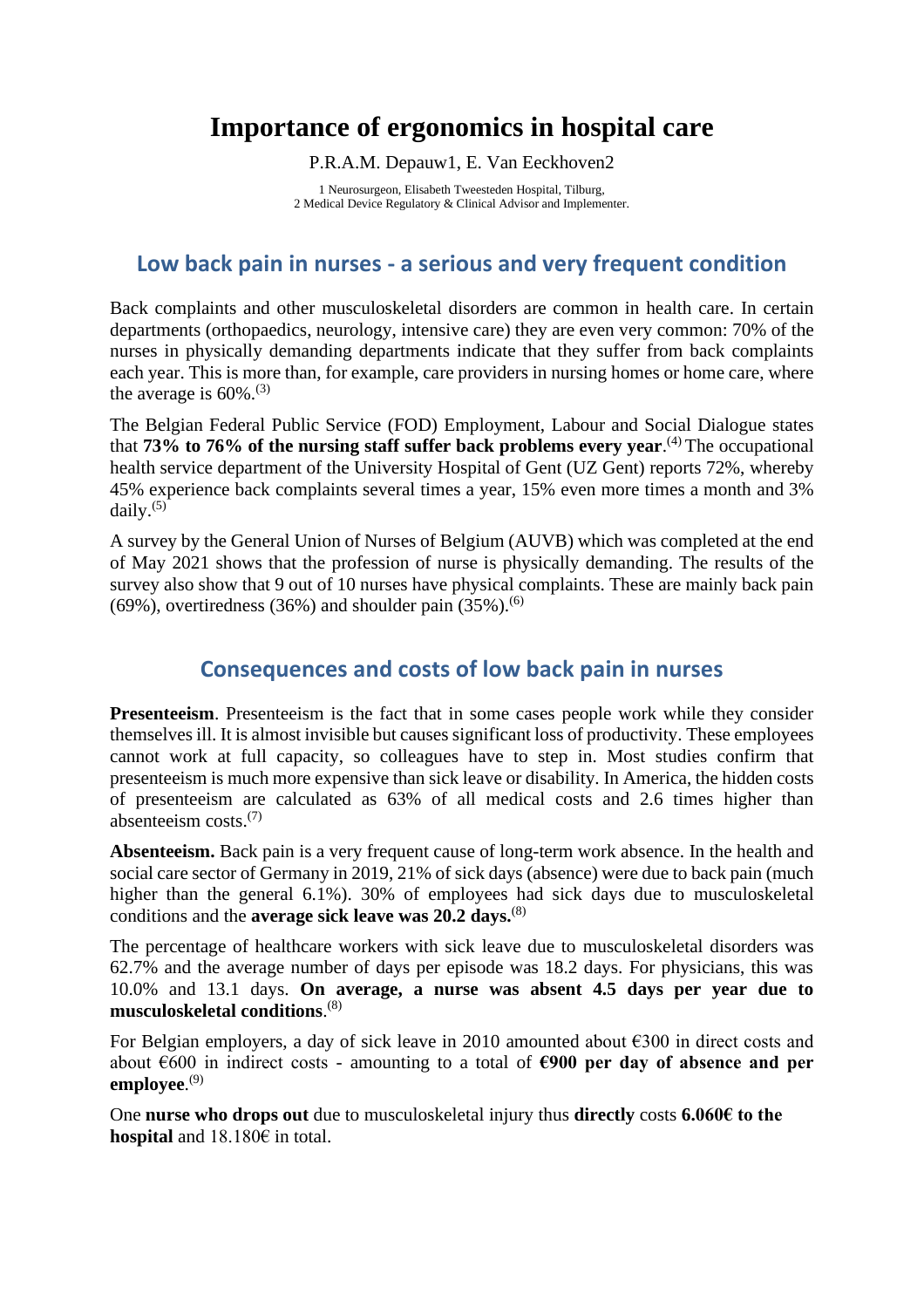# **Importance of ergonomics in hospital care**

P.R.A.M. Depauw1, E. Van Eeckhoven2

1 Neurosurgeon, Elisabeth Tweesteden Hospital, Tilburg, 2 Medical Device Regulatory & Clinical Advisor and Implementer.

#### **Low back pain in nurses - a serious and very frequent condition**

Back complaints and other musculoskeletal disorders are common in health care. In certain departments (orthopaedics, neurology, intensive care) they are even very common: 70% of the nurses in physically demanding departments indicate that they suffer from back complaints each year. This is more than, for example, care providers in nursing homes or home care, where the average is  $60\%$ .<sup>(3)</sup>

The Belgian Federal Public Service (FOD) Employment, Labour and Social Dialogue states that **73% to 76% of the nursing staff suffer back problems every year**. (4) The occupational health service department of the University Hospital of Gent (UZ Gent) reports 72%, whereby 45% experience back complaints several times a year, 15% even more times a month and 3% daily. (5)

A survey by the General Union of Nurses of Belgium (AUVB) which was completed at the end of May 2021 shows that the profession of nurse is physically demanding. The results of the survey also show that 9 out of 10 nurses have physical complaints. These are mainly back pain  $(69\%)$ , overtiredness  $(36\%)$  and shoulder pain  $(35\%)$ .<sup>(6)</sup>

#### **Consequences and costs of low back pain in nurses**

**Presenteeism**. Presenteeism is the fact that in some cases people work while they consider themselves ill. It is almost invisible but causes significant loss of productivity. These employees cannot work at full capacity, so colleagues have to step in. Most studies confirm that presenteeism is much more expensive than sick leave or disability. In America, the hidden costs of presenteeism are calculated as 63% of all medical costs and 2.6 times higher than absenteeism costs.(7)

**Absenteeism.** Back pain is a very frequent cause of long-term work absence. In the health and social care sector of Germany in 2019, 21% of sick days (absence) were due to back pain (much higher than the general 6.1%). 30% of employees had sick days due to musculoskeletal conditions and the **average sick leave was 20.2 days.**(8)

The percentage of healthcare workers with sick leave due to musculoskeletal disorders was 62.7% and the average number of days per episode was 18.2 days. For physicians, this was 10.0% and 13.1 days. **On average, a nurse was absent 4.5 days per year due to musculoskeletal conditions**. (8)

For Belgian employers, a day of sick leave in 2010 amounted about €300 in direct costs and about €600 in indirect costs - amounting to a total of **€900 per day of absence and per employee**. (9)

One **nurse who drops out** due to musculoskeletal injury thus **directly** costs **6.060€ to the hospital** and 18.180€ in total.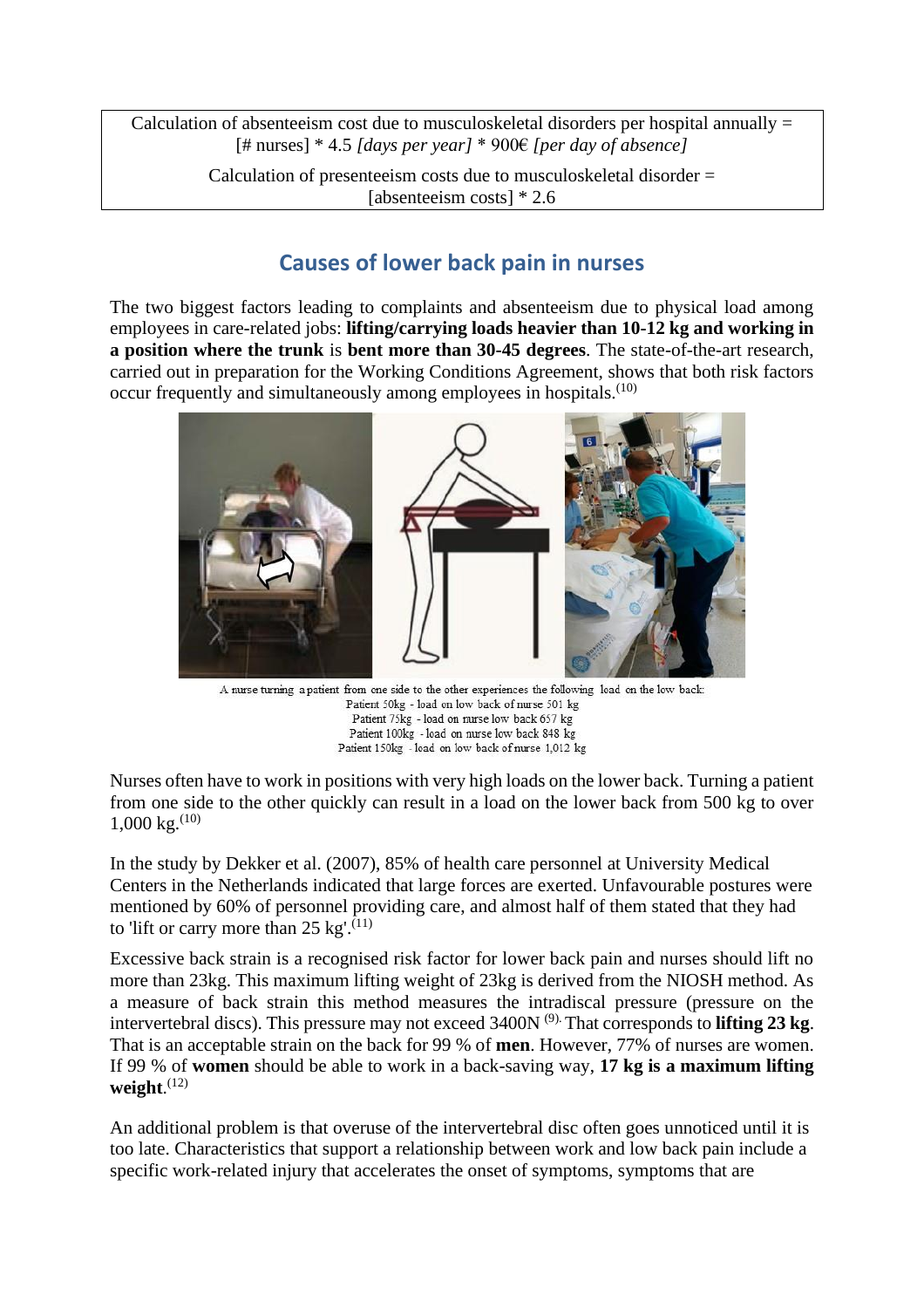Calculation of absenteeism cost due to musculoskeletal disorders per hospital annually  $=$ [# nurses] \* 4.5 *[days per year]* \* 900€ *[per day of absence]*

Calculation of presenteeism costs due to musculoskeletal disorder = [absenteeism costs]  $* 2.6$ 

### **Causes of lower back pain in nurses**

The two biggest factors leading to complaints and absenteeism due to physical load among employees in care-related jobs: **lifting/carrying loads heavier than 10-12 kg and working in a position where the trunk** is **bent more than 30-45 degrees**. The state-of-the-art research, carried out in preparation for the Working Conditions Agreement, shows that both risk factors occur frequently and simultaneously among employees in hospitals.<sup>(10)</sup>



A nurse turning a patient from one side to the other experiences the following load on the low back: Patient 50kg - load on low back of nurse 501 kg Patient 75kg - load on nurse low back 657 kg Patient 100kg - load on nurse low back 848 kg Patient 150kg - load on low back of nurse 1,012 kg

Nurses often have to work in positions with very high loads on the lower back. Turning a patient from one side to the other quickly can result in a load on the lower back from 500 kg to over  $1,000 \text{ kg.}^{(10)}$ 

In the study by Dekker et al. (2007), 85% of health care personnel at University Medical Centers in the Netherlands indicated that large forces are exerted. Unfavourable postures were mentioned by 60% of personnel providing care, and almost half of them stated that they had to 'lift or carry more than 25 kg'.<sup>(11)</sup>

Excessive back strain is a recognised risk factor for lower back pain and nurses should lift no more than 23kg. This maximum lifting weight of 23kg is derived from the NIOSH method. As a measure of back strain this method measures the intradiscal pressure (pressure on the intervertebral discs). This pressure may not exceed 3400N (9). That corresponds to **lifting 23 kg**. That is an acceptable strain on the back for 99 % of **men**. However, 77% of nurses are women. If 99 % of **women** should be able to work in a back-saving way, **17 kg is a maximum lifting weight**. (12)

An additional problem is that overuse of the intervertebral disc often goes unnoticed until it is too late. Characteristics that support a relationship between work and low back pain include a specific work-related injury that accelerates the onset of symptoms, symptoms that are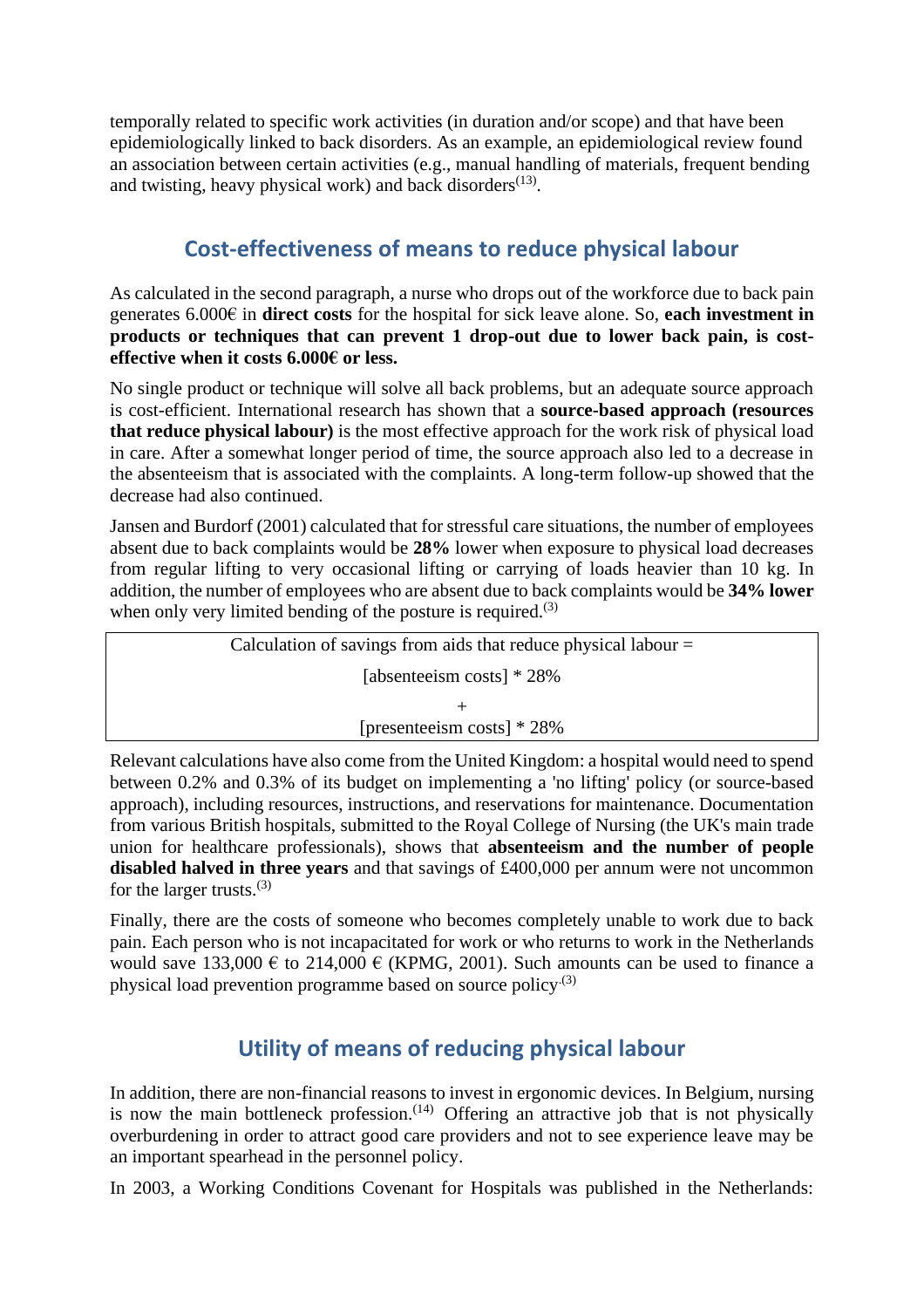temporally related to specific work activities (in duration and/or scope) and that have been epidemiologically linked to back disorders. As an example, an epidemiological review found an association between certain activities (e.g., manual handling of materials, frequent bending and twisting, heavy physical work) and back disorders $(13)$ .

#### **Cost-effectiveness of means to reduce physical labour**

As calculated in the second paragraph, a nurse who drops out of the workforce due to back pain generates 6.000€ in **direct costs** for the hospital for sick leave alone. So, **each investment in products or techniques that can prevent 1 drop-out due to lower back pain, is costeffective when it costs 6.000€ or less.** 

No single product or technique will solve all back problems, but an adequate source approach is cost-efficient. International research has shown that a **source-based approach (resources that reduce physical labour)** is the most effective approach for the work risk of physical load in care. After a somewhat longer period of time, the source approach also led to a decrease in the absenteeism that is associated with the complaints. A long-term follow-up showed that the decrease had also continued.

Jansen and Burdorf (2001) calculated that for stressful care situations, the number of employees absent due to back complaints would be **28%** lower when exposure to physical load decreases from regular lifting to very occasional lifting or carrying of loads heavier than 10 kg. In addition, the number of employees who are absent due to back complaints would be **34% lower**  when only very limited bending of the posture is required.<sup> $(3)$ </sup>

| Calculation of savings from aids that reduce physical labour $=$ |  |  |  |  |  |  |
|------------------------------------------------------------------|--|--|--|--|--|--|
| [absenteeism costs] $* 28\%$                                     |  |  |  |  |  |  |
|                                                                  |  |  |  |  |  |  |
| [presenteeism costs] $* 28\%$                                    |  |  |  |  |  |  |

Relevant calculations have also come from the United Kingdom: a hospital would need to spend between 0.2% and 0.3% of its budget on implementing a 'no lifting' policy (or source-based approach), including resources, instructions, and reservations for maintenance. Documentation from various British hospitals, submitted to the Royal College of Nursing (the UK's main trade union for healthcare professionals), shows that **absenteeism and the number of people disabled halved in three years** and that savings of £400,000 per annum were not uncommon for the larger trusts. $(3)$ 

Finally, there are the costs of someone who becomes completely unable to work due to back pain. Each person who is not incapacitated for work or who returns to work in the Netherlands would save 133,000  $\epsilon$  to 214,000  $\epsilon$  (KPMG, 2001). Such amounts can be used to finance a physical load prevention programme based on source policy.(3)

## **Utility of means of reducing physical labour**

In addition, there are non-financial reasons to invest in ergonomic devices. In Belgium, nursing is now the main bottleneck profession.  $(14)$  Offering an attractive job that is not physically overburdening in order to attract good care providers and not to see experience leave may be an important spearhead in the personnel policy.

In 2003, a Working Conditions Covenant for Hospitals was published in the Netherlands: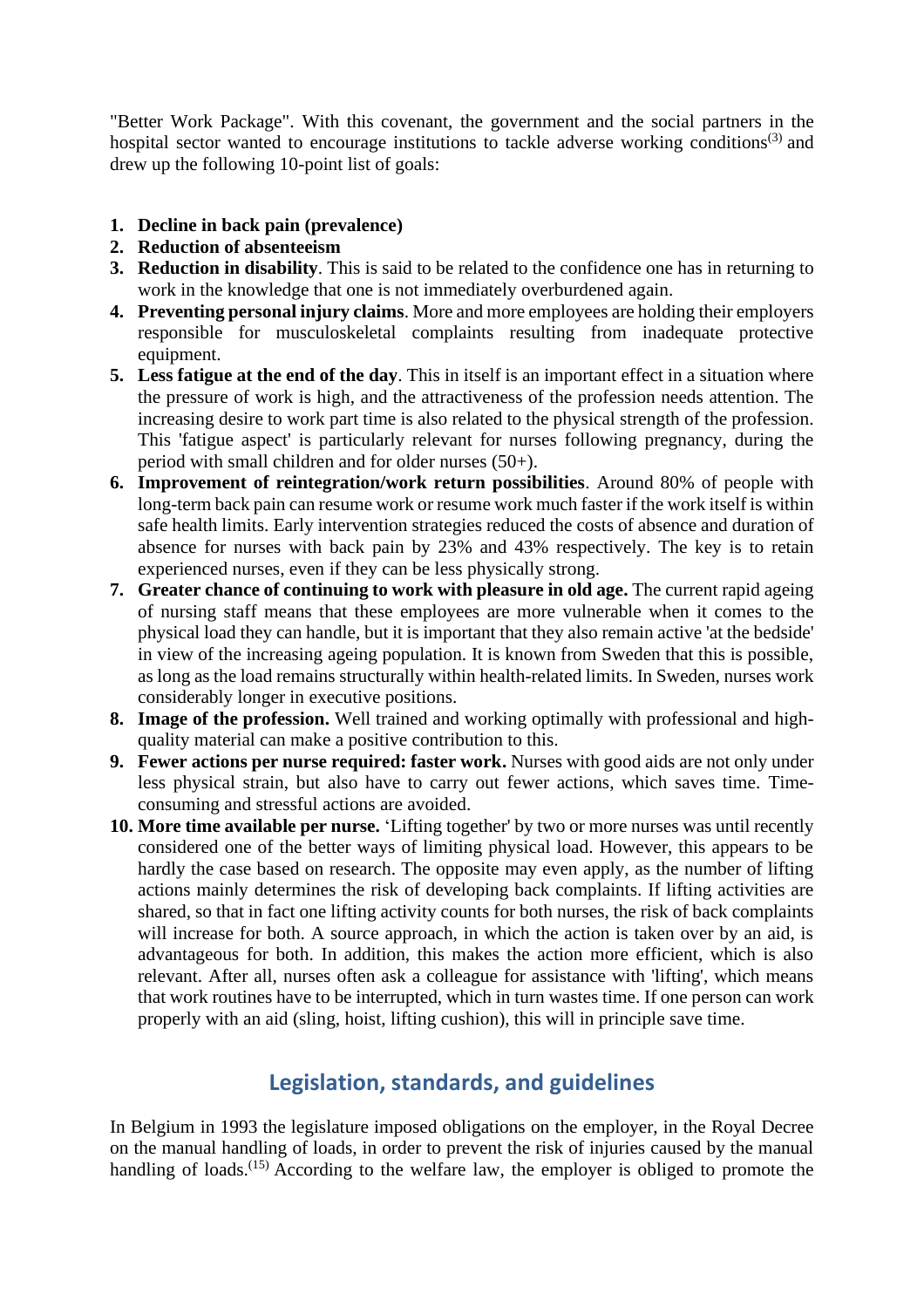"Better Work Package". With this covenant, the government and the social partners in the hospital sector wanted to encourage institutions to tackle adverse working conditions<sup>(3)</sup> and drew up the following 10-point list of goals:

- **1. Decline in back pain (prevalence)**
- **2. Reduction of absenteeism**
- **3. Reduction in disability**. This is said to be related to the confidence one has in returning to work in the knowledge that one is not immediately overburdened again.
- **4. Preventing personal injury claims**. More and more employees are holding their employers responsible for musculoskeletal complaints resulting from inadequate protective equipment.
- **5. Less fatigue at the end of the day**. This in itself is an important effect in a situation where the pressure of work is high, and the attractiveness of the profession needs attention. The increasing desire to work part time is also related to the physical strength of the profession. This 'fatigue aspect' is particularly relevant for nurses following pregnancy, during the period with small children and for older nurses (50+).
- **6. Improvement of reintegration/work return possibilities**. Around 80% of people with long-term back pain can resume work or resume work much faster if the work itself is within safe health limits. Early intervention strategies reduced the costs of absence and duration of absence for nurses with back pain by 23% and 43% respectively. The key is to retain experienced nurses, even if they can be less physically strong.
- **7. Greater chance of continuing to work with pleasure in old age.** The current rapid ageing of nursing staff means that these employees are more vulnerable when it comes to the physical load they can handle, but it is important that they also remain active 'at the bedside' in view of the increasing ageing population. It is known from Sweden that this is possible, as long as the load remains structurally within health-related limits. In Sweden, nurses work considerably longer in executive positions.
- **8. Image of the profession.** Well trained and working optimally with professional and highquality material can make a positive contribution to this.
- **9. Fewer actions per nurse required: faster work.** Nurses with good aids are not only under less physical strain, but also have to carry out fewer actions, which saves time. Timeconsuming and stressful actions are avoided.
- **10. More time available per nurse.** 'Lifting together' by two or more nurses was until recently considered one of the better ways of limiting physical load. However, this appears to be hardly the case based on research. The opposite may even apply, as the number of lifting actions mainly determines the risk of developing back complaints. If lifting activities are shared, so that in fact one lifting activity counts for both nurses, the risk of back complaints will increase for both. A source approach, in which the action is taken over by an aid, is advantageous for both. In addition, this makes the action more efficient, which is also relevant. After all, nurses often ask a colleague for assistance with 'lifting', which means that work routines have to be interrupted, which in turn wastes time. If one person can work properly with an aid (sling, hoist, lifting cushion), this will in principle save time.

#### **Legislation, standards, and guidelines**

In Belgium in 1993 the legislature imposed obligations on the employer, in the Royal Decree on the manual handling of loads, in order to prevent the risk of injuries caused by the manual handling of loads.<sup>(15)</sup> According to the welfare law, the employer is obliged to promote the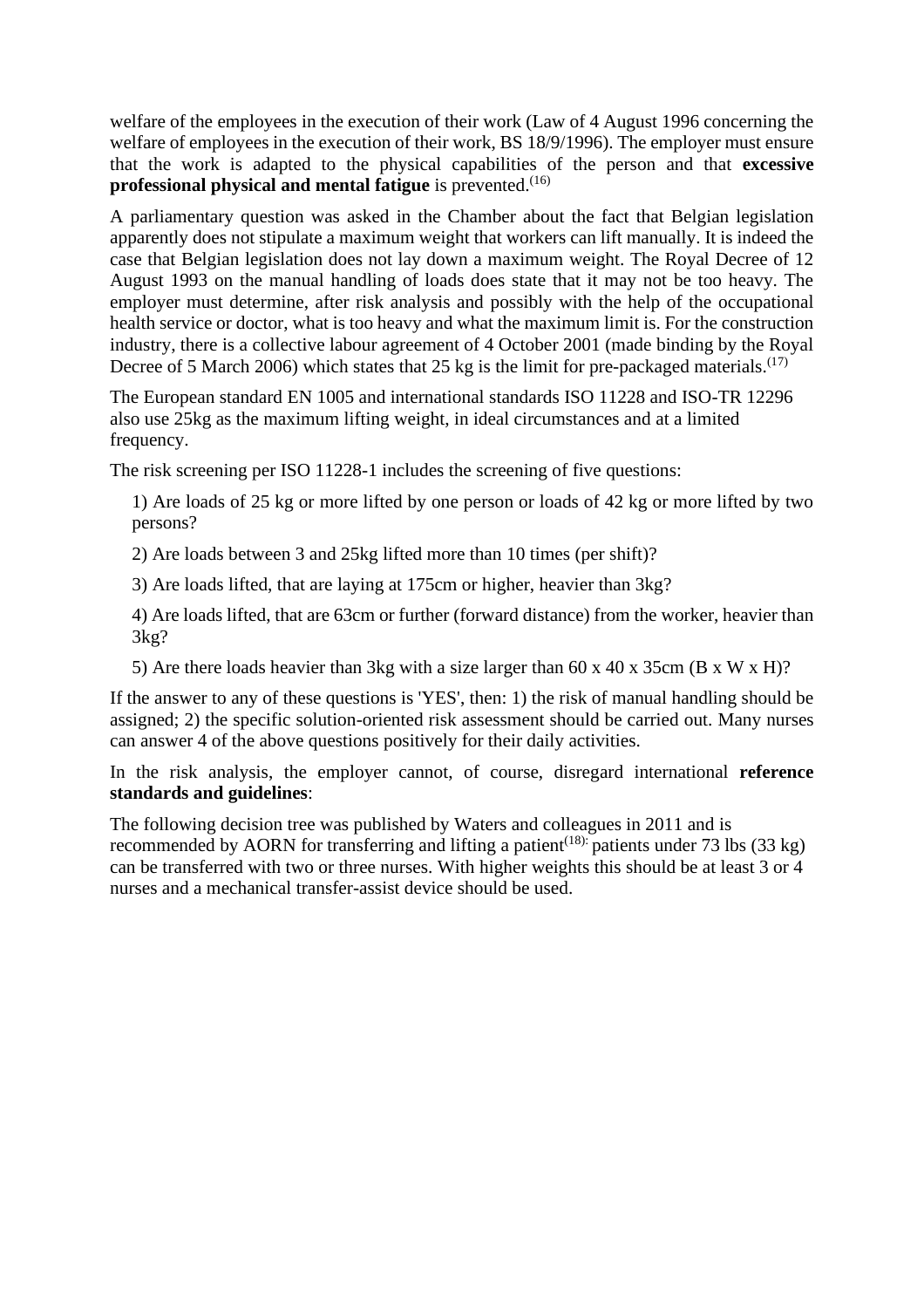welfare of the employees in the execution of their work (Law of 4 August 1996 concerning the welfare of employees in the execution of their work, BS 18/9/1996). The employer must ensure that the work is adapted to the physical capabilities of the person and that **excessive professional physical and mental fatigue** is prevented.<sup>(16)</sup>

A parliamentary question was asked in the Chamber about the fact that Belgian legislation apparently does not stipulate a maximum weight that workers can lift manually. It is indeed the case that Belgian legislation does not lay down a maximum weight. The Royal Decree of 12 August 1993 on the manual handling of loads does state that it may not be too heavy. The employer must determine, after risk analysis and possibly with the help of the occupational health service or doctor, what is too heavy and what the maximum limit is. For the construction industry, there is a collective labour agreement of 4 October 2001 (made binding by the Royal Decree of 5 March 2006) which states that 25 kg is the limit for pre-packaged materials.<sup>(17)</sup>

The European standard EN 1005 and international standards ISO 11228 and ISO-TR 12296 also use 25kg as the maximum lifting weight, in ideal circumstances and at a limited frequency.

The risk screening per ISO 11228-1 includes the screening of five questions:

1) Are loads of 25 kg or more lifted by one person or loads of 42 kg or more lifted by two persons?

2) Are loads between 3 and 25kg lifted more than 10 times (per shift)?

3) Are loads lifted, that are laying at 175cm or higher, heavier than 3kg?

4) Are loads lifted, that are 63cm or further (forward distance) from the worker, heavier than 3kg?

5) Are there loads heavier than 3kg with a size larger than 60 x 40 x 35cm (B x W x H)?

If the answer to any of these questions is 'YES', then: 1) the risk of manual handling should be assigned; 2) the specific solution-oriented risk assessment should be carried out. Many nurses can answer 4 of the above questions positively for their daily activities.

In the risk analysis, the employer cannot, of course, disregard international **reference standards and guidelines**:

The following decision tree was published by Waters and colleagues in 2011 and is recommended by AORN for transferring and lifting a patient<sup>(18):</sup> patients under 73 lbs (33 kg) can be transferred with two or three nurses. With higher weights this should be at least 3 or 4 nurses and a mechanical transfer-assist device should be used.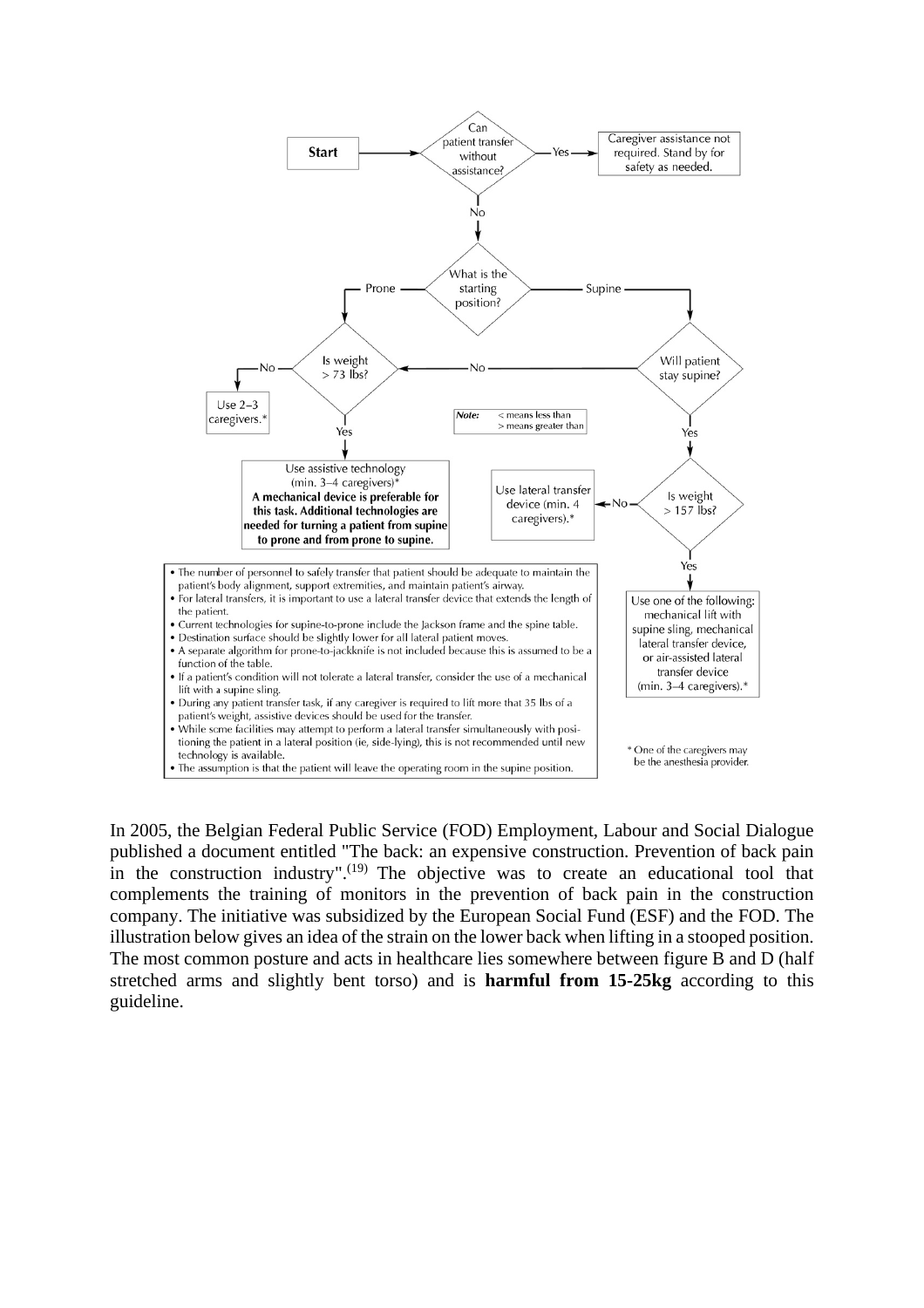

In 2005, the Belgian Federal Public Service (FOD) Employment, Labour and Social Dialogue published a document entitled "The back: an expensive construction. Prevention of back pain in the construction industry".<sup>(19)</sup> The objective was to create an educational tool that complements the training of monitors in the prevention of back pain in the construction company. The initiative was subsidized by the European Social Fund (ESF) and the FOD. The illustration below gives an idea of the strain on the lower back when lifting in a stooped position. The most common posture and acts in healthcare lies somewhere between figure B and D (half stretched arms and slightly bent torso) and is **harmful from 15-25kg** according to this guideline.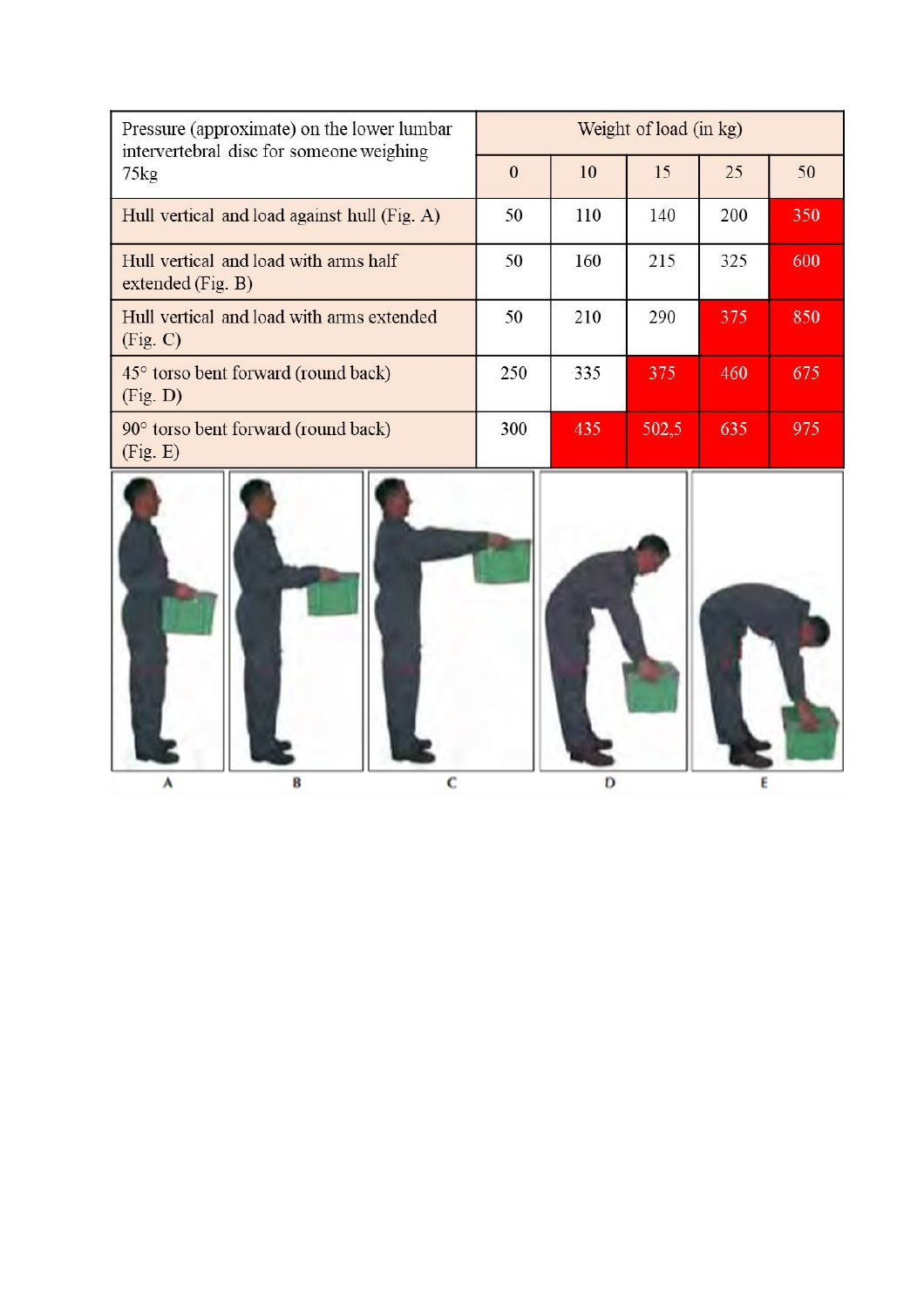| Pressure (approximate) on the lower lumbar<br>intervertebral disc for someone weighing | Weight of load (in kg) |     |       |     |     |
|----------------------------------------------------------------------------------------|------------------------|-----|-------|-----|-----|
| $75\text{kg}$                                                                          | $\mathbf{0}$           | 10  | 15    | 25  | 50  |
| Hull vertical and load against hull (Fig. A)                                           | 50                     | 110 | 140   | 200 | 350 |
| Hull vertical and load with arms half<br>extended $(Fig. B)$                           | 50                     | 160 | 215   | 325 | 600 |
| Hull vertical and load with arms extended<br>(Fig. C)                                  | 50                     | 210 | 290   | 375 | 850 |
| 45° torso bent forward (round back)<br>(Fig. D)                                        | 250                    | 335 | 375   | 460 | 675 |
| 90° torso bent forward (round back)<br>(Fig. E)                                        | 300                    | 435 | 502,5 | 635 | 975 |

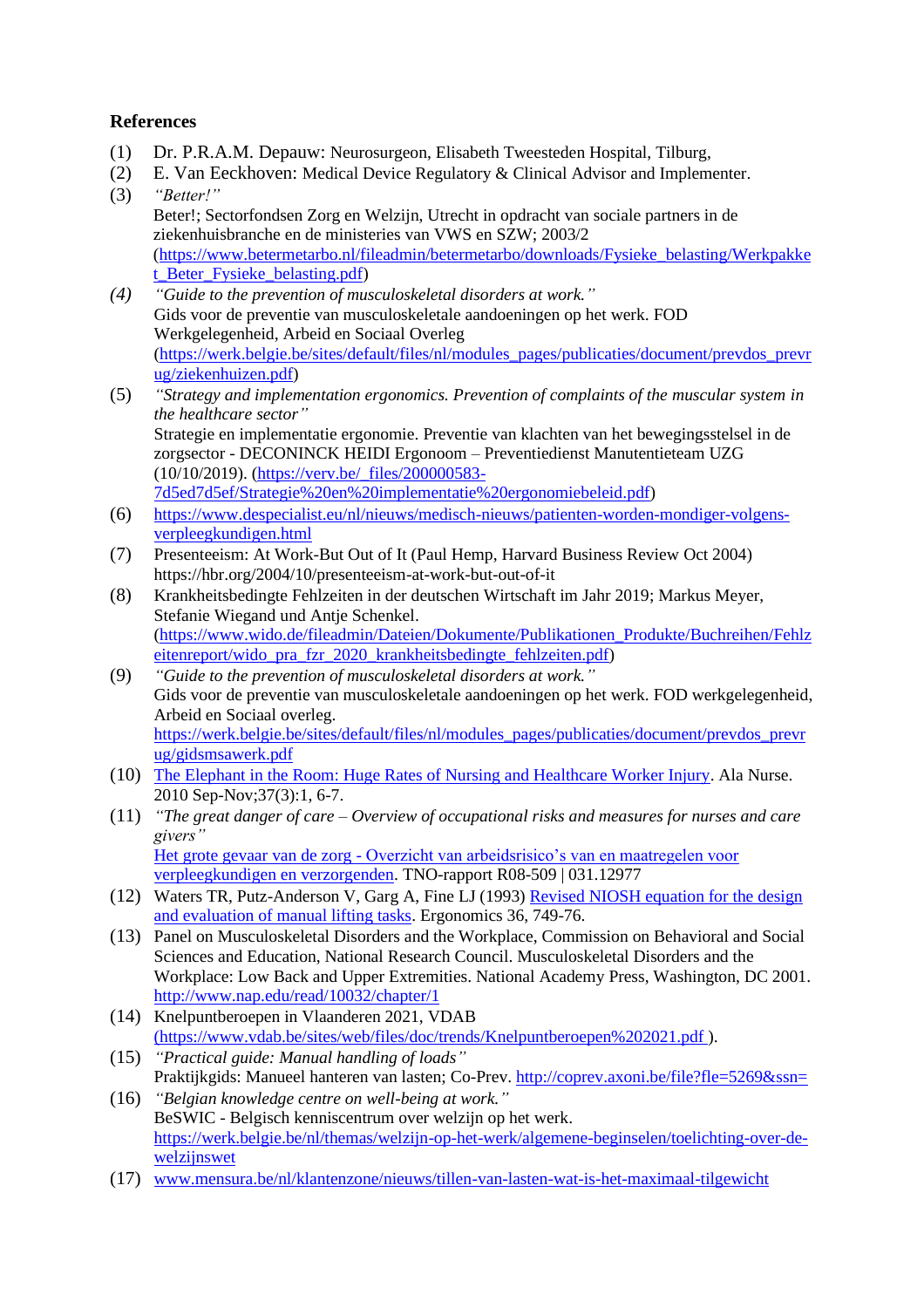#### **References**

- (1) Dr. P.R.A.M. Depauw: Neurosurgeon, Elisabeth Tweesteden Hospital, Tilburg,
- (2) E. Van Eeckhoven: Medical Device Regulatory & Clinical Advisor and Implementer.
- (3) *"Better!"* Beter!; Sectorfondsen Zorg en Welzijn, Utrecht in opdracht van sociale partners in de ziekenhuisbranche en de ministeries van VWS en SZW; 2003/2 [\(https://www.betermetarbo.nl/fileadmin/betermetarbo/downloads/Fysieke\\_belasting/Werkpakke](https://www.betermetarbo.nl/fileadmin/betermetarbo/downloads/Fysieke_belasting/Werkpakket_Beter_Fysieke_belasting.pdf) [t\\_Beter\\_Fysieke\\_belasting.pdf\)](https://www.betermetarbo.nl/fileadmin/betermetarbo/downloads/Fysieke_belasting/Werkpakket_Beter_Fysieke_belasting.pdf)
- *(4) "Guide to the prevention of musculoskeletal disorders at work."* Gids voor de preventie van musculoskeletale aandoeningen op het werk. FOD Werkgelegenheid, Arbeid en Sociaal Overleg [\(https://werk.belgie.be/sites/default/files/nl/modules\\_pages/publicaties/document/prevdos\\_prevr](https://werk.belgie.be/sites/default/files/nl/modules_pages/publicaties/document/prevdos_prevrug/ziekenhuizen.pdf) [ug/ziekenhuizen.pdf\)](https://werk.belgie.be/sites/default/files/nl/modules_pages/publicaties/document/prevdos_prevrug/ziekenhuizen.pdf)
- (5) *"Strategy and implementation ergonomics. Prevention of complaints of the muscular system in the healthcare sector"* Strategie en implementatie ergonomie. Preventie van klachten van het bewegingsstelsel in de zorgsector - DECONINCK HEIDI Ergonoom – Preventiedienst Manutentieteam UZG (10/10/2019). [\(https://verv.be/\\_files/200000583-](https://verv.be/_files/200000583-7d5ed7d5ef/Strategie%20en%20implementatie%20ergonomiebeleid.pdf) [7d5ed7d5ef/Strategie%20en%20implementatie%20ergonomiebeleid.pdf\)](https://verv.be/_files/200000583-7d5ed7d5ef/Strategie%20en%20implementatie%20ergonomiebeleid.pdf)
- (6) [https://www.despecialist.eu/nl/nieuws/medisch-nieuws/patienten-worden-mondiger-volgens](https://www.despecialist.eu/nl/nieuws/medisch-nieuws/patienten-worden-mondiger-volgens-verpleegkundigen.html)[verpleegkundigen.html](https://www.despecialist.eu/nl/nieuws/medisch-nieuws/patienten-worden-mondiger-volgens-verpleegkundigen.html)
- (7) Presenteeism: At Work-But Out of It (Paul Hemp, Harvard Business Review Oct 2004) https://hbr.org/2004/10/presenteeism-at-work-but-out-of-it
- (8) Krankheitsbedingte Fehlzeiten in der deutschen Wirtschaft im Jahr 2019; Markus Meyer, Stefanie Wiegand und Antje Schenkel. [\(https://www.wido.de/fileadmin/Dateien/Dokumente/Publikationen\\_Produkte/Buchreihen/Fehlz](https://www.wido.de/fileadmin/Dateien/Dokumente/Publikationen_Produkte/Buchreihen/Fehlzeitenreport/wido_pra_fzr_2020_krankheitsbedingte_fehlzeiten.pdf) [eitenreport/wido\\_pra\\_fzr\\_2020\\_krankheitsbedingte\\_fehlzeiten.pdf\)](https://www.wido.de/fileadmin/Dateien/Dokumente/Publikationen_Produkte/Buchreihen/Fehlzeitenreport/wido_pra_fzr_2020_krankheitsbedingte_fehlzeiten.pdf)
- (9) *"Guide to the prevention of musculoskeletal disorders at work."* Gids voor de preventie van musculoskeletale aandoeningen op het werk. FOD werkgelegenheid, Arbeid en Sociaal overleg. [https://werk.belgie.be/sites/default/files/nl/modules\\_pages/publicaties/document/prevdos\\_prevr](https://werk.belgie.be/sites/default/files/nl/modules_pages/publicaties/document/prevdos_prevrug/gidsmsawerk.pdf) [ug/gidsmsawerk.pdf](https://werk.belgie.be/sites/default/files/nl/modules_pages/publicaties/document/prevdos_prevrug/gidsmsawerk.pdf)
- (10) [The Elephant in the Room: Huge Rates of Nursing and Healthcare Worker Injury.](https://www.nursingald.com/articles/8237-the-elephant-in-the-room-huge-rates-of-nursing-and-healthcare-worker-injury) Ala Nurse. 2010 Sep-Nov;37(3):1, 6-7.
- (11) *"The great danger of care – Overview of occupational risks and measures for nurses and care givers"* Het grote gevaar van de zorg - [Overzicht van arbeidsrisico's van en maatregelen voor](https://publications.tno.nl/publication/34612052/bt41zH/douwes-2008-grote.pdf) [verpleegkundigen en verzorgenden.](https://publications.tno.nl/publication/34612052/bt41zH/douwes-2008-grote.pdf) TNO-rapport R08-509 | 031.12977
- (12) Waters TR, Putz-Anderson V, Garg A, Fine LJ (1993) [Revised NIOSH equation for the design](https://www.researchgate.net/publication/14859018_Revised_NIOSH_Equation_for_the_design_and_evaluation_of_manual_lifting_tasks)  [and evaluation of manual lifting tasks.](https://www.researchgate.net/publication/14859018_Revised_NIOSH_Equation_for_the_design_and_evaluation_of_manual_lifting_tasks) Ergonomics 36, 749-76.
- (13) Panel on Musculoskeletal Disorders and the Workplace, Commission on Behavioral and Social Sciences and Education, National Research Council. Musculoskeletal Disorders and the Workplace: Low Back and Upper Extremities. National Academy Press, Washington, DC 2001. <http://www.nap.edu/read/10032/chapter/1>
- (14) Knelpuntberoepen in Vlaanderen 2021, VDAB [\(https://www.vdab.be/sites/web/files/doc/trends/Knelpuntberoepen%202021.pdf \)](https://www.vdab.be/sites/web/files/doc/trends/Knelpuntberoepen%202021.pdf).
- (15) *"Practical guide: Manual handling of loads"* Praktijkgids: Manueel hanteren van lasten; Co-Prev. http://coprev.axoni.be/file?fle=5269&ssn=
- (16) *"Belgian knowledge centre on well-being at work."* BeSWIC - Belgisch kenniscentrum over welzijn op het werk. [https://werk.belgie.be/nl/themas/welzijn-op-het-werk/algemene-beginselen/toelichting-over-de](https://werk.belgie.be/nl/themas/welzijn-op-het-werk/algemene-beginselen/toelichting-over-de-welzijnswet)[welzijnswet](https://werk.belgie.be/nl/themas/welzijn-op-het-werk/algemene-beginselen/toelichting-over-de-welzijnswet)
- (17) [www.mensura.be/nl/klantenzone/nieuws/tillen-van-lasten-wat-is-het-maximaal-tilgewicht](http://www.mensura.be/nl/klantenzone/nieuws/tillen-van-lasten-wat-is-het-maximaal-tilgewicht)